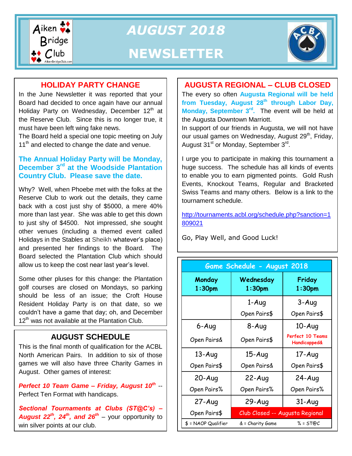

*AUGUST 2018* **NEWSLETTER**



#### **HOLIDAY PARTY CHANGE**

In the June Newsletter it was reported that your Board had decided to once again have our annual Holiday Party on Wednesday, December 12<sup>th</sup> at the Reserve Club. Since this is no longer true, it must have been left wing fake news.

The Board held a special one topic meeting on July  $11<sup>th</sup>$  and elected to change the date and venue.

#### **The Annual Holiday Party will be Monday, December 3rd at the Woodside Plantation Country Club. Please save the date.**

Why? Well, when Phoebe met with the folks at the Reserve Club to work out the details, they came back with a cost just shy of \$5000, a mere 40% more than last year. She was able to get this down to just shy of \$4500. Not impressed, she sought other venues (including a themed event called Holidays in the Stables at Sheikh whatever's place) and presented her findings to the Board. The Board selected the Plantation Club which should allow us to keep the cost near last year's level.

Some other pluses for this change: the Plantation golf courses are closed on Mondays, so parking should be less of an issue; the Croft House Resident Holiday Party is on that date, so we couldn't have a game that day; oh, and December 12<sup>th</sup> was not available at the Plantation Club.

## **AUGUST SCHEDULE**

This is the final month of qualification for the ACBL North American Pairs. In addition to six of those games we will also have three Charity Games in August. Other games of interest:

*Perfect 10 Team Game – Friday, August 10th* -- Perfect Ten Format with handicaps.

*Sectional Tournaments at Clubs (ST@C's) – August 22th, 24th, and 26th* – your opportunity to win silver points at our club.

#### **AUGUSTA REGIONAL – CLUB CLOSED**

The every so often **Augusta Regional will be held from Tuesday, August 28th through Labor Day, Monday, September 3rd .** The event will be held at the Augusta Downtown Marriott.

In support of our friends in Augusta, we will not have our usual games on Wednesday, August 29<sup>th</sup>, Friday, August 31<sup>st</sup> or Monday, September 3<sup>rd</sup>.

I urge you to participate in making this tournament a huge success. The schedule has all kinds of events to enable you to earn pigmented points. Gold Rush Events, Knockout Teams, Regular and Bracketed Swiss Teams and many others. Below is a link to the tournament schedule.

[http://tournaments.acbl.org/schedule.php?sanction=1](http://tournaments.acbl.org/schedule.php?sanction=1809021) [809021](http://tournaments.acbl.org/schedule.php?sanction=1809021)

Go, Play Well, and Good Luck!

| Game Schedule - August 2018  |                                 |                                                    |
|------------------------------|---------------------------------|----------------------------------------------------|
| Monday<br>1:30 <sub>pm</sub> | Wednesday<br>1:30 <sub>pm</sub> | Friday<br>1:30 <sub>pm</sub>                       |
|                              | 1-Aug                           | $3 - Aug$                                          |
|                              | Open Pairs\$                    | Open Pairs\$                                       |
| 6-Aug                        | 8-Aug                           | $10-Aug$                                           |
| Open Pairs&                  | Open Pairs\$                    | <b>Perfect 10 Teams</b><br><b>Handicapped&amp;</b> |
| $13 - Aug$                   | $15 - Aug$                      | 17-Aug                                             |
| Open Pairs\$                 | Open Pairs&                     | Open Pairs\$                                       |
| $20 - Aug$                   | $22-Auq$                        | $24-Auq$                                           |
| Open Pairs%                  | Open Pairs%                     | Open Pairs%                                        |
| $27 - Aug$                   | $29 - Aug$                      | $31 - Aug$                                         |
| Open Pairs\$                 | Club Closed -- Augusta Regional |                                                    |
| $$ = NAOP$ Qualifier         | & = Charity Game                | $% = ST@C$                                         |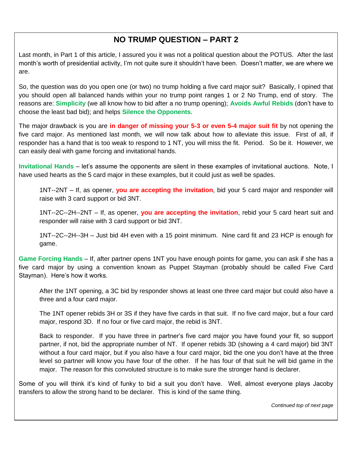## **NO TRUMP QUESTION – PART 2**

Last month, in Part 1 of this article, I assured you it was not a political question about the POTUS. After the last month's worth of presidential activity, I'm not quite sure it shouldn't have been. Doesn't matter, we are where we are.

So, the question was do you open one (or two) no trump holding a five card major suit? Basically, I opined that you should open all balanced hands within your no trump point ranges 1 or 2 No Trump, end of story. The reasons are: **Simplicity** (we all know how to bid after a no trump opening); **Avoids Awful Rebids** (don't have to choose the least bad bid); and helps **Silence the Opponents.** 

The major drawback is you are **in danger of missing your 5-3 or even 5-4 major suit fit** by not opening the five card major. As mentioned last month, we will now talk about how to alleviate this issue. First of all, if responder has a hand that is too weak to respond to 1 NT, you will miss the fit. Period. So be it. However, we can easily deal with game forcing and invitational hands.

**Invitational Hands** – let's assume the opponents are silent in these examples of invitational auctions. Note, I have used hearts as the 5 card major in these examples, but it could just as well be spades.

1NT--2NT – If, as opener, **you are accepting the invitation**, bid your 5 card major and responder will raise with 3 card support or bid 3NT.

1NT--2C--2H--2NT – If, as opener, **you are accepting the invitation**, rebid your 5 card heart suit and responder will raise with 3 card support or bid 3NT.

1NT--2C--2H--3H – Just bid 4H even with a 15 point minimum. Nine card fit and 23 HCP is enough for game.

**Game Forcing Hands** – If, after partner opens 1NT you have enough points for game, you can ask if she has a five card major by using a convention known as Puppet Stayman (probably should be called Five Card Stayman). Here's how it works.

After the 1NT opening, a 3C bid by responder shows at least one three card major but could also have a three and a four card major.

The 1NT opener rebids 3H or 3S if they have five cards in that suit. If no five card major, but a four card major, respond 3D. If no four or five card major, the rebid is 3NT.

Back to responder. If you have three in partner's five card major you have found your fit, so support partner, if not, bid the appropriate number of NT. If opener rebids 3D (showing a 4 card major) bid 3NT without a four card major, but if you also have a four card major, bid the one you don't have at the three level so partner will know you have four of the other. If he has four of that suit he will bid game in the major. The reason for this convoluted structure is to make sure the stronger hand is declarer.

Some of you will think it's kind of funky to bid a suit you don't have. Well, almost everyone plays Jacoby transfers to allow the strong hand to be declarer. This is kind of the same thing.

*Continued top of next page*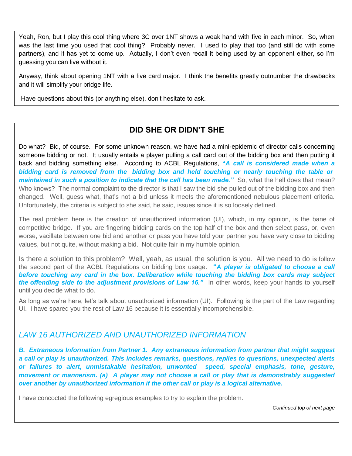Yeah, Ron, but I play this cool thing where 3C over 1NT shows a weak hand with five in each minor. So, when was the last time you used that cool thing? Probably never. I used to play that too (and still do with some partners), and it has yet to come up. Actually, I don't even recall it being used by an opponent either, so I'm guessing you can live without it.

Anyway, think about opening 1NT with a five card major. I think the benefits greatly outnumber the drawbacks and it will simplify your bridge life.

Have questions about this (or anything else), don't hesitate to ask.

## **DID SHE OR DIDN'T SHE**

Do what? Bid, of course. For some unknown reason, we have had a mini-epidemic of director calls concerning someone bidding or not. It usually entails a player pulling a call card out of the bidding box and then putting it back and bidding something else. According to ACBL Regulations, **"***A call is considered made when a bidding card is removed from the bidding box and held touching or nearly touching the table or maintained in such a position to indicate that the call has been made."* So, what the hell does that mean? Who knows? The normal complaint to the director is that I saw the bid she pulled out of the bidding box and then changed. Well, guess what, that's not a bid unless it meets the aforementioned nebulous placement criteria. Unfortunately, the criteria is subject to she said, he said, issues since it is so loosely defined.

The real problem here is the creation of unauthorized information (UI), which, in my opinion, is the bane of competitive bridge. If you are fingering bidding cards on the top half of the box and then select pass, or, even worse, vacillate between one bid and another or pass you have told your partner you have very close to bidding values, but not quite, without making a bid. Not quite fair in my humble opinion.

Is there a solution to this problem? Well, yeah, as usual, the solution is you. All we need to do is follow the second part of the ACBL Regulations on bidding box usage. **"***A player is obligated to choose a call before touching any card in the box. Deliberation while touching the bidding box cards may subject the offending side to the adjustment provisions of Law 16."* In other words, keep your hands to yourself until you decide what to do.

As long as we're here, let's talk about unauthorized information (UI). Following is the part of the Law regarding UI. I have spared you the rest of Law 16 because it is essentially incomprehensible.

#### *LAW 16 AUTHORIZED AND UNAUTHORIZED INFORMATION*

*over another by unauthorized information if the other call or play is a logical alternative. B. Extraneous Information from Partner 1. Any extraneous information from partner that might suggest a call or play is unauthorized. This includes remarks, questions, replies to questions, unexpected alerts or failures to alert, unmistakable hesitation, unwonted speed, special emphasis, tone, gesture, movement or mannerism. (a) A player may not choose a call or play that is demonstrably suggested* 

I have concocted the following egregious examples to try to explain the problem.

*Continued top of next page*